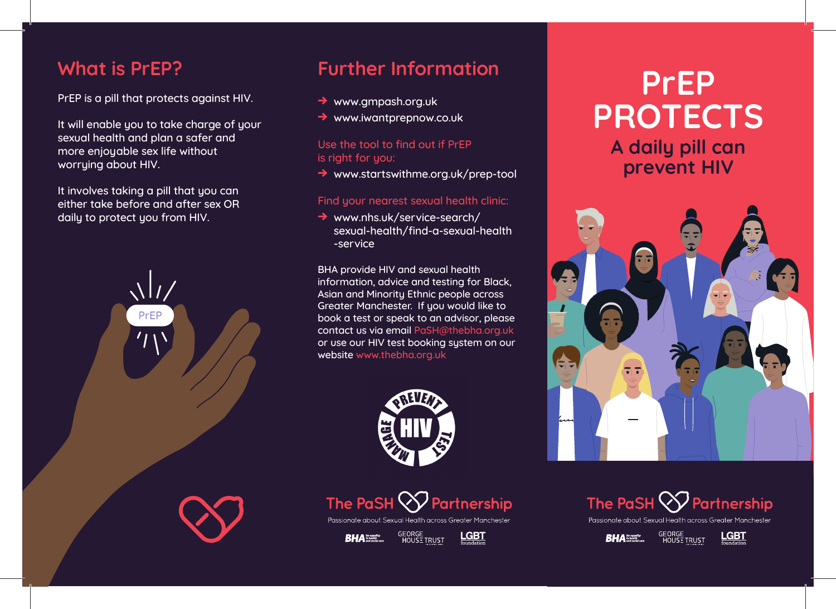## **What is PrEP?**

PrEP is a pill that protects against HIV.

It will enable you to take charge of your sexual health and plan a safer and more enjoyable sex life without worrying about HIV.

It involves taking a pill that you can either take before and after sex OR daily to protect you from HIV.



# **Further Information**

- **→** www.gmpash.org.uk
- **→** www.iwantprepnow.co.uk

## Use the tool to find out if PrEP is right for you:

**→** www.startswithme.org.uk/prep-tool

### Find your nearest sexual health clinic:

**→** www.nhs.uk/service-search/ sexual-health/find-a-sexual-health -service

BHA provide HIV and sexual health information, advice and testing for Black, Asian and Minority Ethnic people across Greater Manchester. If you would like to book a test or speak to an advisor, please contact us via email PaSH@thebha.org.uk or use our HIV test booking system on our website www.thebha.org.uk





Passionate about Sexual Health across Greater Manchester

GEORGE<br>HOUS<u>T</u> TRUST  $BHA$  In health



# **PrEP PROTECTS A daily pill can prevent HIV**





Passionate about Sexual Health across Greater Manchester